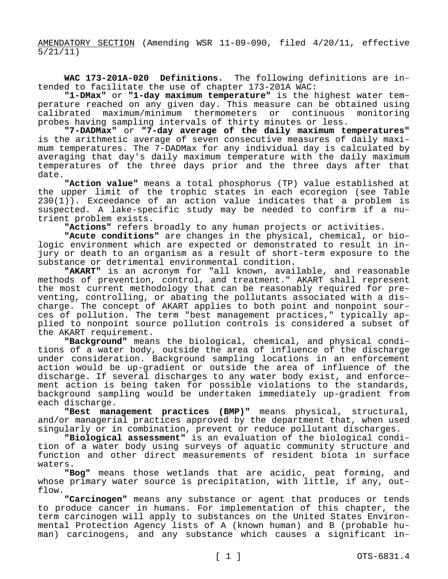AMENDATORY SECTION (Amending WSR 11-09-090, filed 4/20/11, effective 5/21/11)

**WAC 173-201A-020 Definitions.** The following definitions are intended to facilitate the use of chapter 173-201A WAC:

**"1-DMax"** or **"1-day maximum temperature"** is the highest water temperature reached on any given day. This measure can be obtained using<br>calibrated maximum/minimum thermometers or continuous monitoring calibrated maximum/minimum thermometers or continuous probes having sampling intervals of thirty minutes or less.

**"7-DADMax"** or **"7-day average of the daily maximum temperatures"**  is the arithmetic average of seven consecutive measures of daily maximum temperatures. The 7-DADMax for any individual day is calculated by averaging that day's daily maximum temperature with the daily maximum temperatures of the three days prior and the three days after that date.

**"Action value"** means a total phosphorus (TP) value established at the upper limit of the trophic states in each ecoregion (see Table 230(1)). Exceedance of an action value indicates that a problem is suspected. A lake-specific study may be needed to confirm if a nutrient problem exists.

**"Actions"** refers broadly to any human projects or activities.

**"Acute conditions"** are changes in the physical, chemical, or biologic environment which are expected or demonstrated to result in injury or death to an organism as a result of short-term exposure to the substance or detrimental environmental condition.

**"AKART"** is an acronym for "all known, available, and reasonable methods of prevention, control, and treatment." AKART shall represent the most current methodology that can be reasonably required for preventing, controlling, or abating the pollutants associated with a discharge. The concept of AKART applies to both point and nonpoint sources of pollution. The term "best management practices," typically applied to nonpoint source pollution controls is considered a subset of the AKART requirement.

**"Background"** means the biological, chemical, and physical conditions of a water body, outside the area of influence of the discharge under consideration. Background sampling locations in an enforcement action would be up-gradient or outside the area of influence of the discharge. If several discharges to any water body exist, and enforcement action is being taken for possible violations to the standards, background sampling would be undertaken immediately up-gradient from each discharge.

**"Best management practices (BMP)"** means physical, structural, and/or managerial practices approved by the department that, when used singularly or in combination, prevent or reduce pollutant discharges.

**"Biological assessment"** is an evaluation of the biological condition of a water body using surveys of aquatic community structure and function and other direct measurements of resident biota in surface waters.

**"Bog"** means those wetlands that are acidic, peat forming, and whose primary water source is precipitation, with little, if any, outflow.

**"Carcinogen"** means any substance or agent that produces or tends to produce cancer in humans. For implementation of this chapter, the term carcinogen will apply to substances on the United States Environmental Protection Agency lists of A (known human) and B (probable human) carcinogens, and any substance which causes a significant in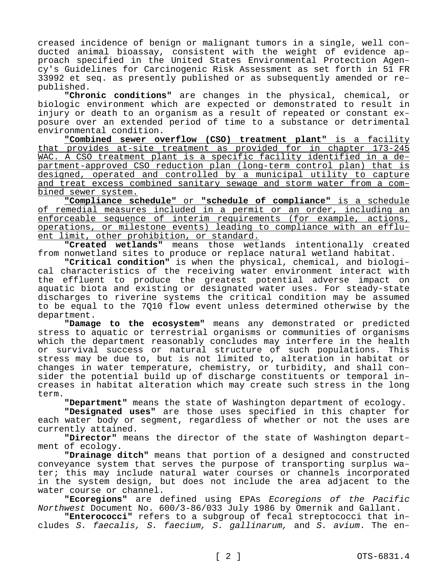creased incidence of benign or malignant tumors in a single, well conducted animal bioassay, consistent with the weight of evidence approach specified in the United States Environmental Protection Agency's Guidelines for Carcinogenic Risk Assessment as set forth in 51 FR 33992 et seq. as presently published or as subsequently amended or republished.

**"Chronic conditions"** are changes in the physical, chemical, or biologic environment which are expected or demonstrated to result in injury or death to an organism as a result of repeated or constant exposure over an extended period of time to a substance or detrimental environmental condition.

**"Combined sewer overflow (CSO) treatment plant"** is a facility that provides at-site treatment as provided for in chapter 173-245 WAC. A CSO treatment plant is a specific facility identified in a department-approved CSO reduction plan (long-term control plan) that is designed, operated and controlled by a municipal utility to capture and treat excess combined sanitary sewage and storm water from a combined sewer system.

**"Compliance schedule"** or **"schedule of compliance"** is a schedule of remedial measures included in a permit or an order, including an enforceable sequence of interim requirements (for example, actions, operations, or milestone events) leading to compliance with an effluent limit, other prohibition, or standard.

**"Created wetlands"** means those wetlands intentionally created from nonwetland sites to produce or replace natural wetland habitat.

**"Critical condition"** is when the physical, chemical, and biological characteristics of the receiving water environment interact with the effluent to produce the greatest potential adverse impact on aquatic biota and existing or designated water uses. For steady-state discharges to riverine systems the critical condition may be assumed to be equal to the 7Q10 flow event unless determined otherwise by the department.

**"Damage to the ecosystem"** means any demonstrated or predicted stress to aquatic or terrestrial organisms or communities of organisms which the department reasonably concludes may interfere in the health or survival success or natural structure of such populations. This stress may be due to, but is not limited to, alteration in habitat or changes in water temperature, chemistry, or turbidity, and shall consider the potential build up of discharge constituents or temporal increases in habitat alteration which may create such stress in the long term.

**"Department"** means the state of Washington department of ecology.

**"Designated uses"** are those uses specified in this chapter for each water body or segment, regardless of whether or not the uses are currently attained.

**"Director"** means the director of the state of Washington department of ecology.

**"Drainage ditch"** means that portion of a designed and constructed conveyance system that serves the purpose of transporting surplus water; this may include natural water courses or channels incorporated in the system design, but does not include the area adjacent to the water course or channel.

**"Ecoregions"** are defined using EPAs *Ecoregions of the Pacific Northwest* Document No. 600/3-86/033 July 1986 by Omernik and Gallant.

**"Enterococci"** refers to a subgroup of fecal streptococci that includes *S. faecalis, S. faecium, S. gallinarum,* and *S. avium*. The en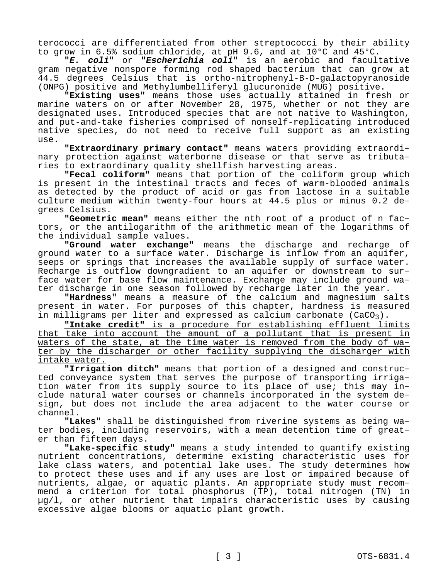terococci are differentiated from other streptococci by their ability to grow in 6.5% sodium chloride, at pH 9.6, and at 10°C and 45°C.

**"***E. coli***"** or **"***Escherichia coli***"** is an aerobic and facultative gram negative nonspore forming rod shaped bacterium that can grow at 44.5 degrees Celsius that is ortho-nitrophenyl-B-D-galactopyranoside (ONPG) positive and Methylumbelliferyl glucuronide (MUG) positive.

**"Existing uses"** means those uses actually attained in fresh or marine waters on or after November 28, 1975, whether or not they are designated uses. Introduced species that are not native to Washington, and put-and-take fisheries comprised of nonself-replicating introduced native species, do not need to receive full support as an existing use.

**"Extraordinary primary contact"** means waters providing extraordinary protection against waterborne disease or that serve as tributaries to extraordinary quality shellfish harvesting areas.

**"Fecal coliform"** means that portion of the coliform group which is present in the intestinal tracts and feces of warm-blooded animals as detected by the product of acid or gas from lactose in a suitable culture medium within twenty-four hours at 44.5 plus or minus 0.2 degrees Celsius.

**"Geometric mean"** means either the nth root of a product of n factors, or the antilogarithm of the arithmetic mean of the logarithms of the individual sample values.

**"Ground water exchange"** means the discharge and recharge of ground water to a surface water. Discharge is inflow from an aquifer, seeps or springs that increases the available supply of surface water. Recharge is outflow downgradient to an aquifer or downstream to surface water for base flow maintenance. Exchange may include ground water discharge in one season followed by recharge later in the year.

**"Hardness"** means a measure of the calcium and magnesium salts present in water. For purposes of this chapter, hardness is measured in milligrams per liter and expressed as calcium carbonate  $(CaCO<sub>3</sub>)$ .

**"Intake credit"** is a procedure for establishing effluent limits that take into account the amount of a pollutant that is present in waters of the state, at the time water is removed from the body of water by the discharger or other facility supplying the discharger with intake water.

**"Irrigation ditch"** means that portion of a designed and constructed conveyance system that serves the purpose of transporting irrigation water from its supply source to its place of use; this may include natural water courses or channels incorporated in the system design, but does not include the area adjacent to the water course or channel.

**"Lakes"** shall be distinguished from riverine systems as being water bodies, including reservoirs, with a mean detention time of greater than fifteen days.

**"Lake-specific study"** means a study intended to quantify existing nutrient concentrations, determine existing characteristic uses for lake class waters, and potential lake uses. The study determines how to protect these uses and if any uses are lost or impaired because of nutrients, algae, or aquatic plants. An appropriate study must recommend a criterion for total phosphorus (TP), total nitrogen (TN) in µg/l, or other nutrient that impairs characteristic uses by causing excessive algae blooms or aquatic plant growth.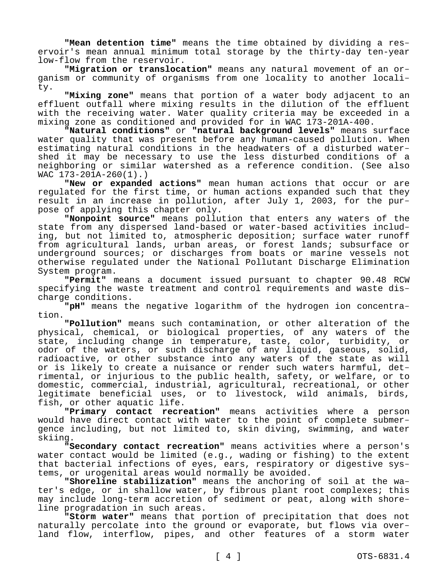**"Mean detention time"** means the time obtained by dividing a reservoir's mean annual minimum total storage by the thirty-day ten-year low-flow from the reservoir.

**"Migration or translocation"** means any natural movement of an organism or community of organisms from one locality to another locality.

**"Mixing zone"** means that portion of a water body adjacent to an effluent outfall where mixing results in the dilution of the effluent with the receiving water. Water quality criteria may be exceeded in a mixing zone as conditioned and provided for in WAC 173-201A-400.

**"Natural conditions"** or **"natural background levels"** means surface water quality that was present before any human-caused pollution. When estimating natural conditions in the headwaters of a disturbed watershed it may be necessary to use the less disturbed conditions of a neighboring or similar watershed as a reference condition. (See also WAC 173-201A-260(1).)

**"New or expanded actions"** mean human actions that occur or are regulated for the first time, or human actions expanded such that they result in an increase in pollution, after July 1, 2003, for the purpose of applying this chapter only.

**"Nonpoint source"** means pollution that enters any waters of the state from any dispersed land-based or water-based activities including, but not limited to, atmospheric deposition; surface water runoff from agricultural lands, urban areas, or forest lands; subsurface or underground sources; or discharges from boats or marine vessels not otherwise regulated under the National Pollutant Discharge Elimination System program.

**"Permit"** means a document issued pursuant to chapter 90.48 RCW specifying the waste treatment and control requirements and waste discharge conditions.

**"pH"** means the negative logarithm of the hydrogen ion concentration.

**"Pollution"** means such contamination, or other alteration of the physical, chemical, or biological properties, of any waters of the state, including change in temperature, taste, color, turbidity, or odor of the waters, or such discharge of any liquid, gaseous, solid, radioactive, or other substance into any waters of the state as will or is likely to create a nuisance or render such waters harmful, detrimental, or injurious to the public health, safety, or welfare, or to domestic, commercial, industrial, agricultural, recreational, or other legitimate beneficial uses, or to livestock, wild animals, birds, fish, or other aquatic life.

**"Primary contact recreation"** means activities where a person would have direct contact with water to the point of complete submergence including, but not limited to, skin diving, swimming, and water skiing.

**"Secondary contact recreation"** means activities where a person's water contact would be limited (e.g., wading or fishing) to the extent that bacterial infections of eyes, ears, respiratory or digestive systems, or urogenital areas would normally be avoided.

**"Shoreline stabilization"** means the anchoring of soil at the water's edge, or in shallow water, by fibrous plant root complexes; this may include long-term accretion of sediment or peat, along with shoreline progradation in such areas.

**"Storm water"** means that portion of precipitation that does not naturally percolate into the ground or evaporate, but flows via overland flow, interflow, pipes, and other features of a storm water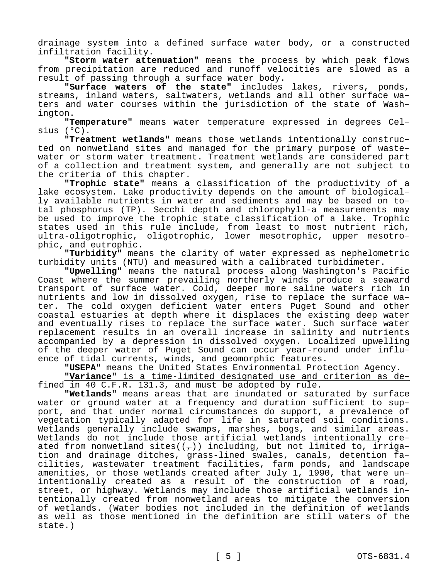drainage system into a defined surface water body, or a constructed infiltration facility.

**"Storm water attenuation"** means the process by which peak flows from precipitation are reduced and runoff velocities are slowed as a result of passing through a surface water body.

**"Surface waters of the state"** includes lakes, rivers, ponds, streams, inland waters, saltwaters, wetlands and all other surface waters and water courses within the jurisdiction of the state of Washington.

**"Temperature"** means water temperature expressed in degrees Celsius (°C).

**"Treatment wetlands"** means those wetlands intentionally constructed on nonwetland sites and managed for the primary purpose of wastewater or storm water treatment. Treatment wetlands are considered part of a collection and treatment system, and generally are not subject to the criteria of this chapter.

**"Trophic state"** means a classification of the productivity of a lake ecosystem. Lake productivity depends on the amount of biologically available nutrients in water and sediments and may be based on total phosphorus (TP). Secchi depth and chlorophyll-a measurements may be used to improve the trophic state classification of a lake. Trophic states used in this rule include, from least to most nutrient rich, ultra-oligotrophic, oligotrophic, lower mesotrophic, upper mesotrophic, and eutrophic.

**"Turbidity"** means the clarity of water expressed as nephelometric turbidity units (NTU) and measured with a calibrated turbidimeter.

**"Upwelling"** means the natural process along Washington's Pacific Coast where the summer prevailing northerly winds produce a seaward transport of surface water. Cold, deeper more saline waters rich in nutrients and low in dissolved oxygen, rise to replace the surface water. The cold oxygen deficient water enters Puget Sound and other coastal estuaries at depth where it displaces the existing deep water and eventually rises to replace the surface water. Such surface water replacement results in an overall increase in salinity and nutrients accompanied by a depression in dissolved oxygen. Localized upwelling of the deeper water of Puget Sound can occur year-round under influence of tidal currents, winds, and geomorphic features.

**"USEPA"** means the United States Environmental Protection Agency.

**"Variance"** is a time-limited designated use and criterion as defined in 40 C.F.R. 131.3, and must be adopted by rule.

**"Wetlands"** means areas that are inundated or saturated by surface water or ground water at a frequency and duration sufficient to support, and that under normal circumstances do support, a prevalence of vegetation typically adapted for life in saturated soil conditions. Wetlands generally include swamps, marshes, bogs, and similar areas. Wetlands do not include those artificial wetlands intentionally created from nonwetland sites( $(\tau)$ ) including, but not limited to, irrigation and drainage ditches, grass-lined swales, canals, detention facilities, wastewater treatment facilities, farm ponds, and landscape amenities, or those wetlands created after July 1, 1990, that were unintentionally created as a result of the construction of a road, street, or highway. Wetlands may include those artificial wetlands intentionally created from nonwetland areas to mitigate the conversion of wetlands. (Water bodies not included in the definition of wetlands as well as those mentioned in the definition are still waters of the state.)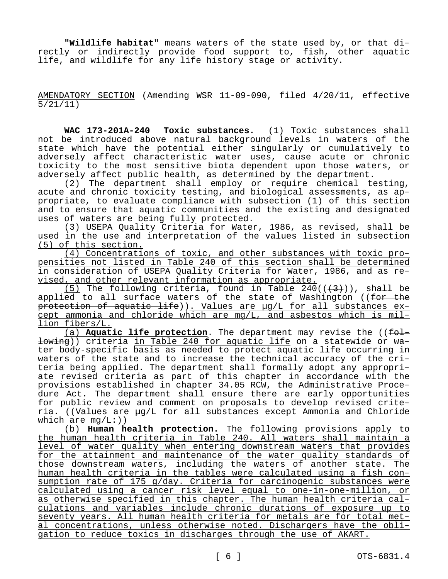**"Wildlife habitat"** means waters of the state used by, or that directly or indirectly provide food support to, fish, other aquatic life, and wildlife for any life history stage or activity.

AMENDATORY SECTION (Amending WSR 11-09-090, filed 4/20/11, effective 5/21/11)

**WAC 173-201A-240 Toxic substances.** (1) Toxic substances shall not be introduced above natural background levels in waters of the state which have the potential either singularly or cumulatively to adversely affect characteristic water uses, cause acute or chronic toxicity to the most sensitive biota dependent upon those waters, or adversely affect public health, as determined by the department.

(2) The department shall employ or require chemical testing, acute and chronic toxicity testing, and biological assessments, as appropriate, to evaluate compliance with subsection (1) of this section and to ensure that aquatic communities and the existing and designated uses of waters are being fully protected.

(3) USEPA Quality Criteria for Water, 1986, as revised, shall be used in the use and interpretation of the values listed in subsection (5) of this section.

(4) Concentrations of toxic, and other substances with toxic propensities not listed in Table 240 of this section shall be determined in consideration of USEPA Quality Criteria for Water, 1986, and as revised, and other relevant information as appropriate.

(5) The following criteria, found in Table  $240((\frac{4}{3}))$ , shall be applied to all surface waters of the state of Washington ((for the protection of aquatic life)). Values are µg/L for all substances except ammonia and chloride which are mg/L, and asbestos which is million fibers/L.

(a) **Aquatic life protection**. The department may revise the ((following)) criteria in Table 240 for aquatic life on a statewide or water body-specific basis as needed to protect aquatic life occurring in waters of the state and to increase the technical accuracy of the criteria being applied. The department shall formally adopt any appropriate revised criteria as part of this chapter in accordance with the provisions established in chapter 34.05 RCW, the Administrative Procedure Act. The department shall ensure there are early opportunities for public review and comment on proposals to develop revised criteria. ((Values are ug/L for all substances except Ammonia and Chloride which are  $mq/L:$ ))

(b) **Human health protection.** The following provisions apply to the human health criteria in Table 240. All waters shall maintain a level of water quality when entering downstream waters that provides for the attainment and maintenance of the water quality standards of those downstream waters, including the waters of another state. The human health criteria in the tables were calculated using a fish consumption rate of 175 g/day. Criteria for carcinogenic substances were calculated using a cancer risk level equal to one-in-one-million, or as otherwise specified in this chapter. The human health criteria calculations and variables include chronic durations of exposure up to seventy years. All human health criteria for metals are for total metal concentrations, unless otherwise noted. Dischargers have the obligation to reduce toxics in discharges through the use of AKART.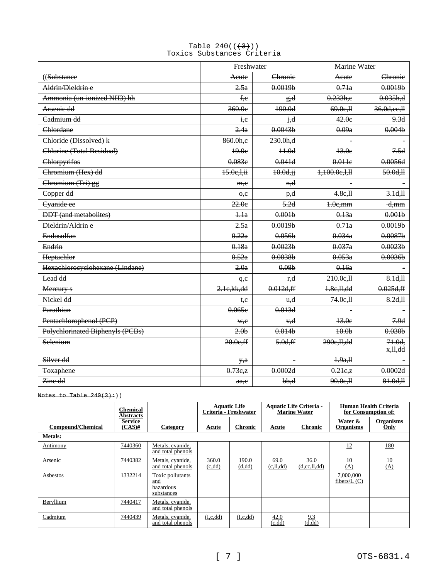## Table  $240((\frac{43}{}))$ Toxics Substances Criteria

|                                         | Freshwater                     |                             | <b>Marine Water</b>  |                                 |  |
|-----------------------------------------|--------------------------------|-----------------------------|----------------------|---------------------------------|--|
| ((Substance                             | Acute                          | Chronie                     | Acute                | Chronie                         |  |
| Aldrin/Dieldrin e                       | 2.5a                           | 0.0019 <sub>b</sub>         | 0.71a                | 0.0019 <sub>b</sub>             |  |
| Ammonia (un-ionized NH3) hh             | f.e                            | g,d                         | 0.233h,e             | 0.035h,d                        |  |
| Arsenie dd                              | 360.0e                         | 190.0d                      | 69.0e, H             | 36.0d, ee, H                    |  |
| Cadmium dd                              | i.e                            | j,d                         | 42.0e                | 9.3d                            |  |
| Chlordane                               | 2.4a                           | 0.0043 <sub>b</sub>         | 0.09a                | 0.004 <sub>b</sub>              |  |
| Chloride (Dissolved) k                  | 860.0h,e                       | 230.0h,d                    |                      |                                 |  |
| Chlorine (Total Residual)               | 49.0e                          | $+1.0d$                     | 13.0e                | 7.5d                            |  |
| Chlorpyrifos                            | 0.083e                         | 0.041d                      | 0.011e               | 0.0056d                         |  |
| Chromium (Hex) dd                       | 15.0e, l, ii                   | $10.0d, \mathrm{jj}$        | 1,100.0e,1,11        | 50.0d, H                        |  |
| Chromium (Tri) gg                       | m,e                            | <del>n,d</del>              |                      |                                 |  |
| Copper dd                               | $\Theta$ <sub>,</sub> $\Theta$ | p,d                         | 4.8e, H              | 3.1d, H                         |  |
| Cyanide ee                              | 22.0e                          | 5.2d                        | $1.0e$ , mm          | <del>d,mm</del>                 |  |
| <b>DDT</b> (and metabolites)            | 4.1a                           | 0.001 <sub>b</sub>          | 0.13a                | 0.001 <sub>b</sub>              |  |
| Dieldrin/Aldrin e                       | 2.5a                           | 0.0019 <sub>b</sub>         | 0.71a                | 0.0019 <sub>b</sub>             |  |
| Endosulfan                              | 0.22a                          | 0.056 <sub>b</sub>          | 0.034a               | 0.0087 <sub>b</sub>             |  |
| Endrin                                  | 0.18a                          | 0.0023b                     | 0.037a               | 0.0023b                         |  |
| Heptachlor                              | 0.52a                          | 0.0038 <sub>b</sub>         | 0.053a               | 0.0036 <sub>b</sub>             |  |
| Hexachloroeyelohexane (Lindane)         | 2.0a                           | 0.08 <sub>b</sub>           | 0.16a                |                                 |  |
| Lead dd                                 | q, e                           | r <del>.d</del>             | 210.0e, H            | 8.1d, H                         |  |
| Mereury s                               | 2.1e, kk, dd                   | 0.012d, ff                  | 1.8c, H, dd          | 0.025d, ff                      |  |
| Nickel dd                               | t.e                            | $\mathbf{u}$ , $\mathbf{d}$ | 74.0e, H             | 8.2d, H                         |  |
| Parathion                               | 0.065e                         | 0.013d                      |                      |                                 |  |
| Pentachlorophenol (PCP)                 | ₩,e                            | <del>v,d</del>              | 13.0e                | 7.9d                            |  |
| <b>Polychlorinated Biphenyls (PCBs)</b> | 2.0 <sub>b</sub>               | 0.014 <sub>b</sub>          | 40.0 <sub>b</sub>    | 0.030 <sub>b</sub>              |  |
| Selenium                                | 20.0e,ff                       | 5.0d, ff                    | 290e, H, dd          | $71.0d$ ,<br><del>x,ll,dd</del> |  |
| Silver dd                               | y, a                           |                             | 4.9a,H               |                                 |  |
| <b>Toxaphene</b>                        | 0.73c,z                        | 0.0002d                     | $0.21e$ <sub>z</sub> | 0.0002d                         |  |
| Zine dd                                 | a.e.                           | $b$ , $d$                   | 90.0e, H             | 81.0d, H                        |  |

Notes to Table  $240(3)+)$ 

|                          | Chemical<br><b>Abstracts</b> |                                                    | <b>Aquatic Life</b> | Criteria - Freshwater |                   | <b>Aquatic Life Criteria -</b><br><b>Marine Water</b> | for Consumption of:         | Human Health Criteria    |
|--------------------------|------------------------------|----------------------------------------------------|---------------------|-----------------------|-------------------|-------------------------------------------------------|-----------------------------|--------------------------|
| <b>Compound/Chemical</b> | <b>Service</b><br>$(CAS)$ #  | Category                                           | Acute               | <b>Chronic</b>        | Acute             | <b>Chronic</b>                                        | Water &<br><b>Organisms</b> | <b>Organisms</b><br>Only |
| <b>Metals:</b>           |                              |                                                    |                     |                       |                   |                                                       |                             |                          |
| Antimony                 | 7440360                      | Metals, cyanide,<br>and total phenols              |                     |                       |                   |                                                       | 12                          | 180                      |
| Arsenic                  | 7440382                      | Metals, cyanide,<br>and total phenols              | 360.0<br>(c, dd)    | 190.0<br>(d, dd)      | 69.0<br>(c,ll,dd) | 36.0<br>(d, cc, ll, dd)                               | $\frac{10}{(A)}$            | $\frac{10}{(A)}$         |
| Asbestos                 | 1332214                      | Toxic pollutants<br>and<br>hazardous<br>substances |                     |                       |                   |                                                       | 7,000,000<br>fibers/ $L(C)$ |                          |
| Beryllium                | 7440417                      | Metals, cyanide,<br>and total phenols              |                     |                       |                   |                                                       |                             |                          |
| Cadmium                  | 7440439                      | Metals, cyanide,<br>and total phenols              | (I, c, dd)          | (I, c, dd)            | 42.0<br>(c, dd)   | 9.3<br>(d, dd)                                        |                             |                          |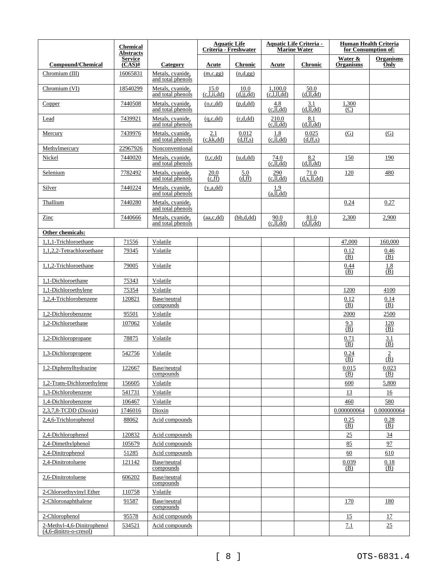|                                                         | <b>Chemical</b><br><b>Abstracts</b> |                                       |                                                       | <b>Aquatic Life</b><br>Criteria - Freshwater |                                     | <b>Aquatic Life Criteria -</b><br><b>Marine Water</b> |                             | <b>Human Health Criteria</b><br>for Consumption of: |
|---------------------------------------------------------|-------------------------------------|---------------------------------------|-------------------------------------------------------|----------------------------------------------|-------------------------------------|-------------------------------------------------------|-----------------------------|-----------------------------------------------------|
| <b>Compound/Chemical</b>                                | <b>Service</b><br>$(CAS)$ #         | Category                              | Acute                                                 | <b>Chronic</b>                               | Acute                               | <b>Chronic</b>                                        | Water &<br><b>Organisms</b> | <b>Organisms</b><br>Only                            |
| Chromium (III)                                          | 16065831                            | Metals, cyanide,<br>and total phenols | (m,c,gg)                                              | (n,d,gg)                                     |                                     |                                                       |                             |                                                     |
| Chromium (VI)                                           | 18540299                            | Metals, cyanide,<br>and total phenols | 15.0<br>$(c,\overline{l},\overline{i},\overline{d}d)$ | 10.0<br>(d, jj, dd)                          | 1,100.0<br>$\overline{(c,l,l1,dd)}$ | 50.0<br>(d,ll,dd)                                     |                             |                                                     |
| Copper                                                  | 7440508                             | Metals, cyanide,<br>and total phenols | (o,c,dd)                                              | (p,d,dd)                                     | 4.8<br>$(c,\overline{ll,dd})$       | 3.1<br>(d,ll,dd)                                      | 1,300<br>(C)                |                                                     |
| Lead                                                    | 7439921                             | Metals, cvanide,<br>and total phenols | (q, c, dd)                                            | (r,d,dd)                                     | 210.0<br>(c,ll,dd)                  | 8.1<br>$(d,\overline{l},dd)$                          |                             |                                                     |
| Mercury                                                 | 7439976                             | Metals, cvanide,<br>and total phenols | 2.1<br>(c, kk, dd)                                    | 0.012<br>(d, ff, s)                          | 1.8<br>(c,ll,dd)                    | 0.025<br>(d, ff, s)                                   | (G)                         | (G)                                                 |
| Methylmercury                                           | 22967926                            | Nonconventional                       |                                                       |                                              |                                     |                                                       |                             |                                                     |
| Nickel                                                  | 7440020                             | Metals, cyanide,<br>and total phenols | (t, c, dd)                                            | (u,d,dd)                                     | 74.0<br>(c,ll,dd)                   | 8.2<br>$(d,\overline{dl},dd)$                         | 150                         | 190                                                 |
| Selenium                                                | 7782492                             | Metals, cyanide,<br>and total phenols | 20.0<br>(c, ff)                                       | 5.0<br>$\overline{d,ff}$                     | 290<br>$(c,\overline{ll,dd})$       | 71.0<br>(d, x, ll, dd)                                | 120                         | 480                                                 |
| Silver                                                  | 7440224                             | Metals, cvanide.<br>and total phenols | (y, a, dd)                                            |                                              | 1.9<br>$(a,\overline{11},dd)$       |                                                       |                             |                                                     |
| Thallium                                                | 7440280                             | Metals, cyanide,<br>and total phenols |                                                       |                                              |                                     |                                                       | 0.24                        | 0.27                                                |
| Zinc                                                    | 7440666                             | Metals, cyanide,<br>and total phenols | (aa,c,dd)                                             | (bb,d,dd)                                    | 90.0<br>$(c,\overline{ll,dd})$      | 81.0<br>(d,ll,dd)                                     | 2,300                       | 2,900                                               |
| Other chemicals:                                        |                                     |                                       |                                                       |                                              |                                     |                                                       |                             |                                                     |
| 1,1,1-Trichloroethane                                   | 71556                               | Volatile                              |                                                       |                                              |                                     |                                                       | 47,000                      | 160,000                                             |
| 1,1,2,2-Tetrachloroethane                               | 79345                               | Volatile                              |                                                       |                                              |                                     |                                                       | 0.12<br>(B)                 | 0.46<br>(B)                                         |
| 1,1,2-Trichloroethane                                   | 79005                               | Volatile                              |                                                       |                                              |                                     |                                                       | 0.44<br>(B)                 | 1.8<br>(B)                                          |
| 1,1-Dichloroethane                                      | 75343                               | Volatile                              |                                                       |                                              |                                     |                                                       |                             |                                                     |
| 1,1-Dichloroethylene                                    | 75354                               | Volatile                              |                                                       |                                              |                                     |                                                       | 1200                        | 4100                                                |
| 1,2,4-Trichlorobenzene                                  | 120821                              | Base/neutral<br>compounds             |                                                       |                                              |                                     |                                                       | 0.12<br>(B)                 | 0.14<br>(B)                                         |
| 1,2-Dichlorobenzene                                     | 95501                               | Volatile                              |                                                       |                                              |                                     |                                                       | 2000                        | 2500                                                |
| 1,2-Dichloroethane                                      | 107062                              | Volatile                              |                                                       |                                              |                                     |                                                       | 9.3<br>(B)                  | 120<br>(B)                                          |
| 1,2-Dichloropropane                                     | 78875                               | Volatile                              |                                                       |                                              |                                     |                                                       | 0.71<br>(B)                 | 3.1<br>(B)                                          |
| 1,3-Dichloropropene                                     | 542756                              | Volatile                              |                                                       |                                              |                                     |                                                       | 0.24<br>(B)                 | $\frac{2}{(\overline{B})}$                          |
| 1,2-Diphenylhydrazine                                   | 122667                              | Base/neutral<br>compounds             |                                                       |                                              |                                     |                                                       | 0.015<br>(B)                | 0.023<br>(B)                                        |
| 1,2-Trans-Dichloroethylene                              | 156605                              | Volatile                              |                                                       |                                              |                                     |                                                       | 600                         | 5,800                                               |
| 1,3-Dichlorobenzene                                     | 541731                              | Volatile                              |                                                       |                                              |                                     |                                                       | 13                          | 16                                                  |
| 1,4-Dichlorobenzene                                     | 106467                              | Volatile                              |                                                       |                                              |                                     |                                                       | 460                         | 580                                                 |
| 2,3,7,8-TCDD (Dioxin)                                   | 1746016                             | Dioxin                                |                                                       |                                              |                                     |                                                       | 0.000000064                 | 0.000000064                                         |
| 2,4,6-Trichlorophenol                                   | 88062                               | Acid compounds                        |                                                       |                                              |                                     |                                                       | 0.25<br>(B)                 | 0.28<br>(B)                                         |
| 2,4-Dichlorophenol                                      | 120832                              | Acid compounds                        |                                                       |                                              |                                     |                                                       | 25                          | $\overline{34}$                                     |
| 2,4-Dimethylphenol                                      | 105679                              | Acid compounds                        |                                                       |                                              |                                     |                                                       | 85                          | 97                                                  |
| 2,4-Dinitrophenol                                       | 51285                               | Acid compounds                        |                                                       |                                              |                                     |                                                       | 60                          | 610                                                 |
| 2,4-Dinitrotoluene                                      | 121142                              | Base/neutral<br>compounds             |                                                       |                                              |                                     |                                                       | 0.039<br>(B)                | 0.18<br>(B)                                         |
| 2,6-Dinitrotoluene                                      | 606202                              | Base/neutral<br>compounds             |                                                       |                                              |                                     |                                                       |                             |                                                     |
| 2-Chloroethyvinyl Ether                                 | 110758                              | Volatile                              |                                                       |                                              |                                     |                                                       |                             |                                                     |
| 2-Chloronaphthalene                                     | 91587                               | Base/neutral<br>compounds             |                                                       |                                              |                                     |                                                       | 170                         | 180                                                 |
| 2-Chlorophenol                                          | 95578                               | Acid compounds                        |                                                       |                                              |                                     |                                                       | 15                          | 17                                                  |
| 2-Methyl-4,6-Dinitrophenol<br>$(4,6$ -dinitro-o-cresol) | 534521                              | Acid compounds                        |                                                       |                                              |                                     |                                                       | 7.1                         | 25                                                  |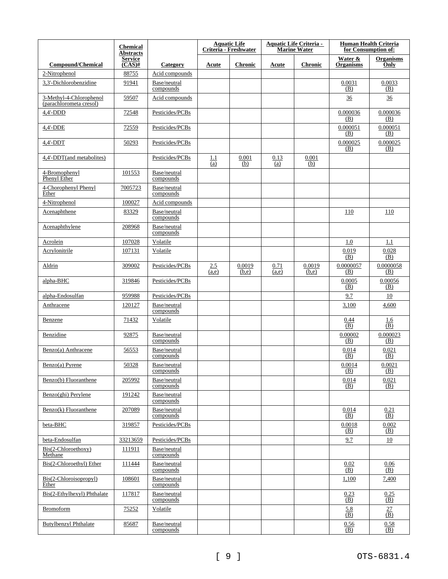|                                                    | <b>Chemical</b><br><b>Abstracts</b>   |                           |                       | <b>Aquatic Life</b><br>Criteria - Freshwater |               | <b>Aquatic Life Criteria -</b><br><b>Marine Water</b> |                             | <b>Human Health Criteria</b><br>for Consumption of: |
|----------------------------------------------------|---------------------------------------|---------------------------|-----------------------|----------------------------------------------|---------------|-------------------------------------------------------|-----------------------------|-----------------------------------------------------|
| <b>Compound/Chemical</b>                           | <b>Service</b><br>$\overline{(CAS)H}$ | Category                  | Acute                 | <b>Chronic</b>                               | Acute         | <b>Chronic</b>                                        | Water &<br><b>Organisms</b> | <b>Organisms</b><br>Only                            |
| 2-Nitrophenol                                      | 88755                                 | Acid compounds            |                       |                                              |               |                                                       |                             |                                                     |
| 3,3'-Dichlorobenzidine                             | 91941                                 | Base/neutral<br>compounds |                       |                                              |               |                                                       | 0.0031<br>(B)               | 0.0033<br>(B)                                       |
| 3-Methyl-4-Chlorophenol<br>(parachlorometa cresol) | 59507                                 | Acid compounds            |                       |                                              |               |                                                       | $\frac{36}{5}$              | $\frac{36}{5}$                                      |
| $4,4'-DDD$                                         | 72548                                 | Pesticides/PCBs           |                       |                                              |               |                                                       | 0.000036<br>(B)             | 0.000036<br>(B)                                     |
| 4,4'-DDE                                           | 72559                                 | Pesticides/PCBs           |                       |                                              |               |                                                       | 0.000051<br>(B)             | 0.000051<br>(B)                                     |
| $4,4'-DDT$                                         | 50293                                 | Pesticides/PCBs           |                       |                                              |               |                                                       | 0.000025<br>(B)             | 0.000025<br>(B)                                     |
| 4,4'-DDT(and metabolites)                          |                                       | Pesticides/PCBs           | 1.1<br>$\overline{a}$ | 0.001<br>(b)                                 | 0.13<br>(a)   | 0.001<br>(b)                                          |                             |                                                     |
| 4-Bromophenyl<br>Phenyl Ether                      | 101553                                | Base/neutral<br>compounds |                       |                                              |               |                                                       |                             |                                                     |
| 4-Chorophenyl Phenyl<br>Ether                      | 7005723                               | Base/neutral<br>compounds |                       |                                              |               |                                                       |                             |                                                     |
| 4-Nitrophenol                                      | 100027                                | Acid compounds            |                       |                                              |               |                                                       |                             |                                                     |
| Acenaphthene                                       | 83329                                 | Base/neutral<br>compounds |                       |                                              |               |                                                       | 110                         | 110                                                 |
| Acenaphthylene                                     | 208968                                | Base/neutral<br>compounds |                       |                                              |               |                                                       |                             |                                                     |
| Acrolein                                           | 107028                                | Volatile                  |                       |                                              |               |                                                       | 1.0                         | 1.1                                                 |
| Acrylonitrile                                      | 107131                                | Volatile                  |                       |                                              |               |                                                       | 0.019<br>(B)                | 0.028<br>(B)                                        |
| Aldrin                                             | 309002                                | Pesticides/PCBs           | 2.5<br>(a,e)          | 0.0019<br>(b,e)                              | 0.71<br>(a,e) | 0.0019<br>(b,e)                                       | 0.0000057<br>(B)            | 0.0000058<br>(B)                                    |
| alpha-BHC                                          | 319846                                | Pesticides/PCBs           |                       |                                              |               |                                                       | 0.0005<br>(B)               | 0.00056<br>(B)                                      |
| alpha-Endosulfan                                   | 959988                                | Pesticides/PCBs           |                       |                                              |               |                                                       | 9.7                         | 10                                                  |
| Anthracene                                         | 120127                                | Base/neutral<br>compounds |                       |                                              |               |                                                       | 3,100                       | 4,600                                               |
| Benzene                                            | 71432                                 | Volatile                  |                       |                                              |               |                                                       | 0.44<br>(B)                 | 1.6<br>$\overline{(B)}$                             |
| Benzidine                                          | 92875                                 | Base/neutral<br>compounds |                       |                                              |               |                                                       | 0.00002<br>(B)              | 0.000023<br>(B)                                     |
| Benzo(a) Anthracene                                | 56553                                 | Base/neutral<br>compounds |                       |                                              |               |                                                       | 0.014<br>(B)                | 0.021<br>(B)                                        |
| Benzo(a) Pyrene                                    | 50328                                 | Base/neutral<br>compounds |                       |                                              |               |                                                       | 0.0014<br>(B)               | 0.0021<br>(B)                                       |
| Benzo(b) Fluoranthene                              | 205992                                | Base/neutral<br>compounds |                       |                                              |               |                                                       | 0.014<br>(B)                | 0.021<br>(B)                                        |
| Benzo(ghi) Perylene                                | 191242                                | Base/neutral<br>compounds |                       |                                              |               |                                                       |                             |                                                     |
| Benzo(k) Fluoranthene                              | 207089                                | Base/neutral<br>compounds |                       |                                              |               |                                                       | 0.014<br>(B)                | 0.21<br>(B)                                         |
| beta-BHC                                           | 319857                                | Pesticides/PCBs           |                       |                                              |               |                                                       | 0.0018<br>(B)               | 0.002<br>(B)                                        |
| beta-Endosulfan                                    | 33213659                              | Pesticides/PCBs           |                       |                                              |               |                                                       | 9.7                         | 10                                                  |
| Bis(2-Chloroethoxy)<br>Methane                     | 111911                                | Base/neutral<br>compounds |                       |                                              |               |                                                       |                             |                                                     |
| Bis(2-Chloroethyl) Ether                           | 111444                                | Base/neutral<br>compounds |                       |                                              |               |                                                       | 0.02<br>(B)                 | 0.06<br>(B)                                         |
| Bis(2-Chloroisopropyl)<br>Ether                    | 108601                                | Base/neutral<br>compounds |                       |                                              |               |                                                       | 1,100                       | 7,400                                               |
| Bis(2-Ethylhexyl) Phthalate                        | 117817                                | Base/neutral<br>compounds |                       |                                              |               |                                                       | 0.23<br>(B)                 | 0.25<br>(B)                                         |
| <b>Bromoform</b>                                   | 75252                                 | Volatile                  |                       |                                              |               |                                                       | 5.8<br>(B)                  | 27<br>$\overline{(\mathbf{B})}$                     |
| <b>Butylbenzyl Phthalate</b>                       | 85687                                 | Base/neutral<br>compounds |                       |                                              |               |                                                       | 0.56<br>(B)                 | 0.58<br>(B)                                         |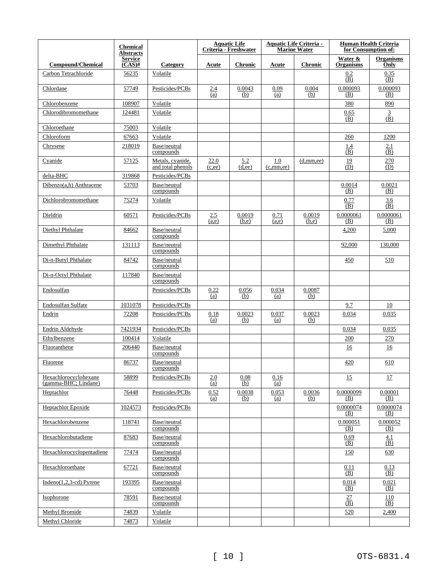|                                                 | <b>Chemical</b><br><b>Abstracts</b> |                                       |                | <b>Aquatic Life</b><br>Criteria - Freshwater |                    | <b>Aquatic Life Criteria -</b><br><b>Marine Water</b> |                                   | Human Health Criteria<br>for Consumption of: |
|-------------------------------------------------|-------------------------------------|---------------------------------------|----------------|----------------------------------------------|--------------------|-------------------------------------------------------|-----------------------------------|----------------------------------------------|
| <b>Compound/Chemical</b>                        | <b>Service</b><br>$(CAS)$ #         | Category                              | Acute          | <b>Chronic</b>                               | Acute              | <b>Chronic</b>                                        | Water &<br><b>Organisms</b>       | <b>Organisms</b><br>Only                     |
| Carbon Tetrachloride                            | 56235                               | Volatile                              |                |                                              |                    |                                                       | 0.2<br>(B)                        | 0.35<br>(B)                                  |
| Chlordane                                       | 57749                               | Pesticides/PCBs                       | 2.4<br>(a)     | 0.0043<br>(b)                                | 0.09<br>(a)        | 0.004<br>(b)                                          | 0.000093<br>(B)                   | 0.000093<br>(B)                              |
| Chlorobenzene                                   | 108907                              | Volatile                              |                |                                              |                    |                                                       | 380                               | 890                                          |
| Chlorodibromomethane                            | 124481                              | Volatile                              |                |                                              |                    |                                                       | 0.65<br>(B)                       | 3<br>$(\overline{B})$                        |
| Chloroethane                                    | 75003                               | Volatile                              |                |                                              |                    |                                                       |                                   |                                              |
| Chloroform                                      | 67663                               | Volatile                              |                |                                              |                    |                                                       | 260                               | 1200                                         |
| Chrysene                                        | 218019                              | Base/neutral<br>compounds             |                |                                              |                    |                                                       | 1.4<br>(B)                        | 2.1<br>(B)                                   |
| Cyanide                                         | 57125                               | Metals, cyanide,<br>and total phenols | 22.0<br>(c,ee) | 5.2<br>(d,ee)                                | 1.0<br>(c, mm, ee) | (d, mm, ee)                                           | 19<br>(D)                         | 270<br>(D)                                   |
| delta-BHC                                       | 319868                              | Pesticides/PCBs                       |                |                                              |                    |                                                       |                                   |                                              |
| $Dibenzo(a,h)$ Anthracene                       | 53703                               | Base/neutral<br>compounds             |                |                                              |                    |                                                       | 0.0014<br>(B)                     | 0.0021<br>(B)                                |
| Dichlorobromomethane                            | 75274                               | Volatile                              |                |                                              |                    |                                                       | 0.77<br>(B)                       | 3.6<br>(B)                                   |
| Dieldrin                                        | 60571                               | Pesticides/PCBs                       | 2.5<br>(a,e)   | 0.0019<br>(b,e)                              | 0.71<br>(a,e)      | 0.0019<br>(b,e)                                       | 0.0000061<br>(B)                  | 0.0000061<br>(B)                             |
| Diethyl Phthalate                               | 84662                               | Base/neutral<br>compounds             |                |                                              |                    |                                                       | 4,200                             | 5,000                                        |
| Dimethyl Phthalate                              | 131113                              | Base/neutral<br>compounds             |                |                                              |                    |                                                       | 92,000                            | 130,000                                      |
| Di-n-Butyl Phthalate                            | 84742                               | Base/neutral<br>compounds             |                |                                              |                    |                                                       | 450                               | 510                                          |
| Di-n-Octyl Phthalate                            | 117840                              | Base/neutral<br>compounds             |                |                                              |                    |                                                       |                                   |                                              |
| Endosulfan                                      |                                     | Pesticides/PCBs                       | 0.22<br>(a)    | 0.056<br>(b)                                 | 0.034<br>(a)       | 0.0087<br>(b)                                         |                                   |                                              |
| Endosulfan Sulfate                              | 1031078                             | Pesticides/PCBs                       |                |                                              |                    |                                                       | 9.7                               | 10                                           |
| Endrin                                          | 72208                               | Pesticides/PCBs                       | 0.18<br>(a)    | 0.0023<br>(b)                                | 0.037<br>(a)       | 0.0023<br>(b)                                         | 0.034                             | 0.035                                        |
| Endrin Aldehyde                                 | 7421934                             | Pesticides/PCBs                       |                |                                              |                    |                                                       | 0.034                             | 0.035                                        |
| Ethylbenzene                                    | 100414                              | Volatile                              |                |                                              |                    |                                                       | 200                               | 270                                          |
| Fluoranthene                                    | 206440                              | Base/neutral<br>compounds             |                |                                              |                    |                                                       | 16                                | 16                                           |
| Fluorene                                        | 86737                               | Base/neutral<br>compounds             |                |                                              |                    |                                                       | 420                               | 610                                          |
| Hexachlorocyclohexane<br>$(gamma-BHC; Lindane)$ | 58899                               | Pesticides/PCBs                       | 2.0<br>(a)     | 0.08<br>(b)                                  | 0.16<br>(a)        |                                                       | 15                                | 17                                           |
| Heptachlor                                      | 76448                               | Pesticides/PCBs                       | 0.52<br>(a)    | 0.0038<br>(b)                                | 0.053<br>(a)       | 0.0036<br>(b)                                         | 0.0000099<br>(B)                  | 0.00001<br>(B)                               |
| <b>Heptachlor Epoxide</b>                       | 1024573                             | Pesticides/PCBs                       |                |                                              |                    |                                                       | 0.0000074<br>(B)                  | 0.0000074<br>(B)                             |
| Hexachlorobenzene                               | 118741                              | Base/neutral<br>compounds             |                |                                              |                    |                                                       | 0.000051<br>(B)                   | 0.000052<br><u>(B)</u>                       |
| Hexachlorobutadiene                             | 87683                               | Base/neutral<br>compounds             |                |                                              |                    |                                                       | 0.69<br>(B)                       | 4.1<br>(B)                                   |
| Hexachlorocyclopentadiene                       | 77474                               | Base/neutral<br>compounds             |                |                                              |                    |                                                       | 150                               | 630                                          |
| Hexachloroethane                                | 67721                               | Base/neutral<br>compounds             |                |                                              |                    |                                                       | 0.11<br>(B)                       | 0.13<br>(B)                                  |
| Indeno $(1,2,3-cd)$ Pyrene                      | 193395                              | Base/neutral<br>compounds             |                |                                              |                    |                                                       | 0.014<br>(B)                      | 0.021<br>(B)                                 |
| Isophorone                                      | 78591                               | Base/neutral<br>compounds             |                |                                              |                    |                                                       | 27<br>$\overline{(\overline{B})}$ | 110<br>(B)                                   |
| Methyl Bromide                                  | 74839                               | Volatile                              |                |                                              |                    |                                                       | 520                               | 2,400                                        |
| Methyl Chloride                                 | 74873                               | Volatile                              |                |                                              |                    |                                                       |                                   |                                              |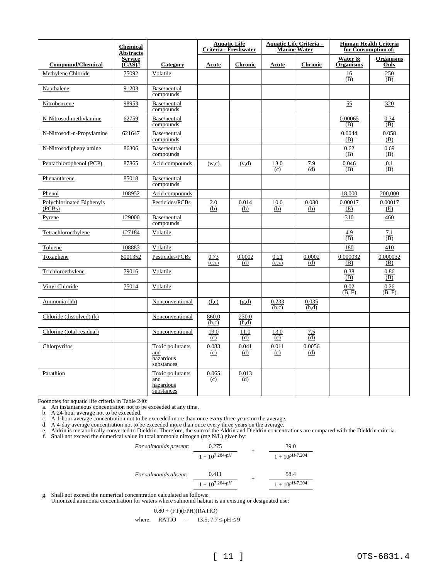|                                     | <b>Chemical</b><br><b>Abstracts</b> |                                                    |                | <b>Aquatic Life</b><br>Criteria - Freshwater |                | <b>Aquatic Life Criteria -</b><br><b>Marine Water</b> |                                    | <b>Human Health Criteria</b><br>for Consumption of: |
|-------------------------------------|-------------------------------------|----------------------------------------------------|----------------|----------------------------------------------|----------------|-------------------------------------------------------|------------------------------------|-----------------------------------------------------|
| <b>Compound/Chemical</b>            | <b>Service</b><br>$(CAS)$ #         | Category                                           | Acute          | <b>Chronic</b>                               | Acute          | <b>Chronic</b>                                        | Water &<br><b>Organisms</b>        | <b>Organisms</b><br>Only                            |
| Methylene Chloride                  | 75092                               | Volatile                                           |                |                                              |                |                                                       | 16<br>(B)                          | 250<br>(B)                                          |
| Napthalene                          | 91203                               | Base/neutral<br>compounds                          |                |                                              |                |                                                       |                                    |                                                     |
| Nitrobenzene                        | 98953                               | Base/neutral<br>compounds                          |                |                                              |                |                                                       | 55                                 | 320                                                 |
| N-Nitrosodimethylamine              | 62759                               | Base/neutral<br>compounds                          |                |                                              |                |                                                       | 0.00065<br>(B)                     | 0.34<br>(B)                                         |
| N-Nitrosodi-n-Propylamine           | 621647                              | Base/neutral<br>compounds                          |                |                                              |                |                                                       | 0.0044<br>(B)                      | 0.058<br>(B)                                        |
| N-Nitrosodiphenylamine              | 86306                               | Base/neutral<br>compounds                          |                |                                              |                |                                                       | 0.62<br>(B)                        | 0.69<br>(B)                                         |
| Pentachlorophenol (PCP)             | 87865                               | Acid compounds                                     | (w,c)          | (v,d)                                        | 13.0<br>(c)    | 7.9<br>(d)                                            | 0.046<br>(B)                       | 0.1<br>(B)                                          |
| Phenanthrene                        | 85018                               | Base/neutral<br>compounds                          |                |                                              |                |                                                       |                                    |                                                     |
| Phenol                              | 108952                              | Acid compounds                                     |                |                                              |                |                                                       | 18,000                             | 200,000                                             |
| Polychlorinated Biphenyls<br>(PCBs) |                                     | Pesticides/PCBs                                    | 2.0<br>(b)     | 0.014<br>(b)                                 | 10.0<br>(b)    | 0.030<br>(b)                                          | 0.00017<br>(E)                     | 0.00017<br>(E)                                      |
| <b>Pyrene</b>                       | 129000                              | Base/neutral<br>compounds                          |                |                                              |                |                                                       | 310                                | 460                                                 |
| Tetrachloroethylene                 | 127184                              | Volatile                                           |                |                                              |                |                                                       | 4.9<br>$\overline{(\overline{B})}$ | 7.1<br>(B)                                          |
| Toluene                             | 108883                              | Volatile                                           |                |                                              |                |                                                       | 180                                | 410                                                 |
| Toxaphene                           | 8001352                             | Pesticides/PCBs                                    | 0.73<br>(c,z)  | 0.0002<br>(d)                                | 0.21<br>(c,z)  | 0.0002<br>(d)                                         | 0.000032<br>(B)                    | 0.000032<br>(B)                                     |
| Trichloroethylene                   | 79016                               | Volatile                                           |                |                                              |                |                                                       | 0.38<br>(B)                        | 0.86<br>(B)                                         |
| Vinyl Chloride                      | 75014                               | Volatile                                           |                |                                              |                |                                                       | 0.02<br>(B, F)                     | 0.26<br>(B, F)                                      |
| Ammonia (hh)                        |                                     | Nonconventional                                    | (f,c)          | (g,d)                                        | 0.233<br>(h,c) | 0.035<br>(h,d)                                        |                                    |                                                     |
| Chloride (dissolved) (k)            |                                     | Nonconventional                                    | 860.0<br>(h,c) | 230.0<br>(h,d)                               |                |                                                       |                                    |                                                     |
| Chlorine (total residual)           |                                     | Nonconventional                                    | 19.0<br>(c)    | 11.0<br>(d)                                  | 13.0<br>(c)    | 7.5<br>(d)                                            |                                    |                                                     |
| Chlorpyrifos                        |                                     | Toxic pollutants<br>and<br>hazardous<br>substances | 0.083<br>(c)   | 0.041<br>(d)                                 | 0.011<br>(c)   | 0.0056<br>(d)                                         |                                    |                                                     |
| Parathion                           |                                     | Toxic pollutants<br>and<br>hazardous<br>substances | 0.065<br>(c)   | 0.013<br>(d)                                 |                |                                                       |                                    |                                                     |

Footnotes for aquatic life criteria in Table 240:

a. An instantaneous concentration not to be exceeded at any time.

b. A 24-hour average not to be exceeded.

c. A 1-hour average concentration not to be exceeded more than once every three years on the average.

d. A 4-day average concentration not to be exceeded more than once every three years on the average.

e. Aldrin is metabolically converted to Dieldrin. Therefore, the sum of the Aldrin and Dieldrin concentrations are compared with the Dieldrin criteria. f. Shall not exceed the numerical value in total ammonia nitrogen (mg N/L) given by:

| For salmonids present: | 0.275                     | 39.0                |
|------------------------|---------------------------|---------------------|
|                        | $1 + 10^{7.204 \cdot pH}$ | $1 + 10^{pH-7.204}$ |
| For salmonids absent:  | 0.411                     | 58.4                |
|                        | $1 + 10^{7.204-pH}$       | $1 + 10^{pH-7.204}$ |

g. Shall not exceed the numerical concentration calculated as follows:

Unionized ammonia concentration for waters where salmonid habitat is an existing or designated use:

#### $0.80 \div (FT)(FPH)(RATIO)$

where: RATIO = 
$$
13.5
$$
;  $7.7 \leq pH \leq 9$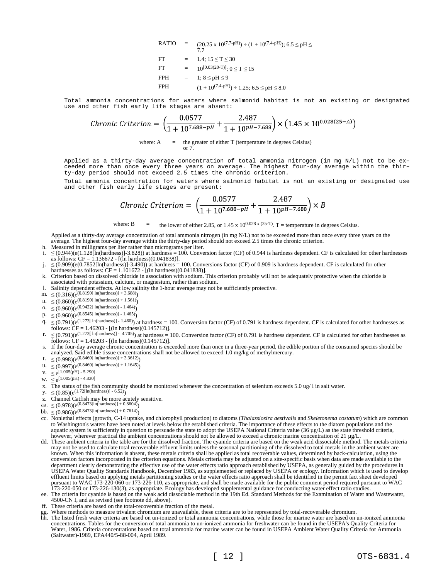RATIO = 
$$
(20.25 \times 10^{(7.7-pH)}) \div (1 + 10^{(7.4-pH)}); 6.5 \leq pH \leq
$$
  
\nFT = 1.4; 15 ≤ T ≤ 30  
\nFT =  $10^{[0.03(20-T)];}$  0 ≤ T ≤ 15  
\nFPH = 1; 8 ≤ pH ≤ 9  
\nFPH =  $(1 + 10^{(7.4-pH)}) \div 1.25; 6.5 \leq pH \leq 8.0$ 

Total ammonia concentrations for waters where salmonid habitat is not an existing or designated use and other fish early life stages are absent:

*Chronic Criterion* = 
$$
\left(\frac{0.0577}{1 + 10^{7.688 - pH}} + \frac{2.487}{1 + 10^{pH - 7.688}}\right) \times \left(1.45 \times 10^{0.028(25-A)}\right)
$$

where:  $A =$  the greater of either T (temperature in degrees Celsius) or 7.

Applied as a thirty-day average concentration of total ammonia nitrogen (in mg N/L) not to be exceeded more than once every three years on average. The highest four-day average within the thirty-day period should not exceed 2.5 times the chronic criterion.

Total ammonia concentration for waters where salmonid habitat is not an existing or designated use and other fish early life stages are present:

$$
Chronic\, Criterion = \left(\frac{0.0577}{1 + 10^{7.688 - pH}} + \frac{2.487}{1 + 10^{pH - 7.688}}\right) \times B
$$

where: B  $=$  the lower of either 2.85, or 1.45 x 10<sup>0.028 x (25-T)</sup>. T = temperature in degrees Celsius.

Applied as a thirty-day average concentration of total ammonia nitrogen (in mg N/L) not to be exceeded more than once every three years on the average. The highest four-day average within the thirty-day period should not exceed 2.5 times the chronic criterion.

- h. Measured in milligrams per liter rather than micrograms per liter.
- i.  $≤$  (0.944)(e(1.128[In(hardness)]-3.828)) at hardness = 100. Conversion factor (CF) of 0.944 is hardness dependent. CF is calculated for other hardnesses as follows:  $CF = 1.136672 - [(ln hardness)(0.041838)].$
- j.  $\leq (0.909)(e(0.7852[\ln(hardness)]-3.490))$  at hardness = 100. Conversions factor (CF) of 0.909 is hardness dependent. CF is calculated for other hardnesses as follows: CF = 1.101672 - [(ln hardness)(0.041838)].
- k. Criterion based on dissolved chloride in association with sodium. This criterion probably will not be adequately protective when the chloride is associated with potassium, calcium, or magnesium, rather than sodium.
- l. Salinity dependent effects. At low salinity the 1-hour average may not be sufficiently protective.
- m.  $\leq (0.316)(e^{(0.8190[ln(hardness)] + 3.688)})$
- $n. \leq (0.860)(e^{(0.8190[ \ln(hardness)] + 1.561)})$
- o.  $\leq (0.960)(e^{(0.9422[ln(hardness)] 1.464)}$
- p.  $\leq (0.960)(e^{(0.8545[ln(hardness)] 1.465)})$
- $q. \leq (0.791)(e^{(1.273[ In (hardness)] 1.460)})$  at hardness = 100. Conversion factor (CF) of 0.791 is hardness dependent. CF is calculated for other hardnesses as  $\frac{1}{2}$  follows: CF = 1.46203 -  $[(\ln \text{hardness})(0.145712)]$ .
- r.  $\leq (0.791)(e^{(1.273[ln(hardness)] 4.705)})$  at hardness = 100. Conversion factor (CF) of 0.791 is hardness dependent. CF is calculated for other hardnesses as  $f_{\text{0}}(0.757)(6.75)$ <br>follows: CF = 1.46203 - [(ln hardness)(0.145712)].
- s. If the four-day average chronic concentration is exceeded more than once in a three-year period, the edible portion of the consumed species should be analyzed. Said edible tissue concentrations shall not be allowed to exceed 1.0 mg/kg of methylmercury.
- t.  $\leq (0.998)(e^{(0.8460[\ln(hardness)] + 3.3612)})$
- u.  $\leq (0.997)(e^{(0.8460[ln(hardness)] + 1.1645)})$
- $v. \leq e^{[1.005(pH) 5.290]}$
- w.  $\leq e^{[1.005(pH) 4.830]}$
- x. The status of the fish community should be monitored whenever the concentration of selenium exceeds  $5.0 \text{ ug}/1$  in salt water.
- $y. \leq (0.85)(e^{(1.72[\ln(hardness)] 6.52)})$
- z. Channel Catfish may be more acutely sensitive.
- aa.  $\leq (0.978)(e^{(0.8473[\ln(hardness)] + 0.8604)})$
- bb.  $\leq (0.986)(e^{(0.8473[\ln(hardness)] + 0.7614)})$
- cc. Nonlethal effects (growth, C-14 uptake, and chlorophyll production) to diatoms (*Thalassiosira aestivalis* and *Skeletonema costatum*) which are common to Washington's waters have been noted at levels below the established criteria. The importance of these effects to the diatom populations and the aquatic system is sufficiently in question to persuade the state to adopt the USEPA National Criteria value ( $36 \mu g/L$ ) as the state threshold criteria, however, wherever practical the ambient concentrations should not be allowed to exceed a chronic marine concentration of 21 µg/L.
- dd. These ambient criteria in the table are for the dissolved fraction. The cyanide criteria are based on the weak acid dissociable method. The metals criteria may not be used to calculate total recoverable effluent limits unless the seasonal partitioning of the dissolved to total metals in the ambient water are known. When this information is absent, these metals criteria shall be applied as total recoverable values, determined by back-calculation, using the conversion factors incorporated in the criterion equations. Metals criteria may be adjusted on a site-specific basis when data are made available to the department clearly demonstrating the effective use of the water effects ratio approach established by USEPA, as generally guided by the procedures in USEPA Water Quality Standards Handbook, December 1983, as supplemented or replaced by USEPA or ecology. Information which is used to develop effluent limits based on applying metals partitioning studies or the water effects ratio approach shall be identified in the permit fact sheet developed pursuant to WAC 173-220-060 or 173-226-110, as appropriate, and shall be made available for the public comment period required pursuant to WAC 173-220-050 or 173-226-130(3), as appropriate. Ecology has developed supplemental guidance for conducting water effect ratio studies.
- ee. The criteria for cyanide is based on the weak acid dissociable method in the 19th Ed. Standard Methods for the Examination of Water and Wastewater, 4500-CN I, and as revised (see footnote dd, above).
- ff. These criteria are based on the total-recoverable fraction of the metal.
- Where methods to measure trivalent chromium are unavailable, these criteria are to be represented by total-recoverable chromium.
- hh. The listed fresh water criteria are based on un-ionized or total ammonia concentrations, while those for marine water are based on un-ionized ammonia concentrations. Tables for the conversion of total ammonia to un-ionized ammonia for freshwater can be found in the USEPA's Quality Criteria for Water, 1986. Criteria concentrations based on total ammonia for marine water can be found in USEPA Ambient Water Quality Criteria for Ammonia (Saltwater)-1989, EPA440/5-88-004, April 1989.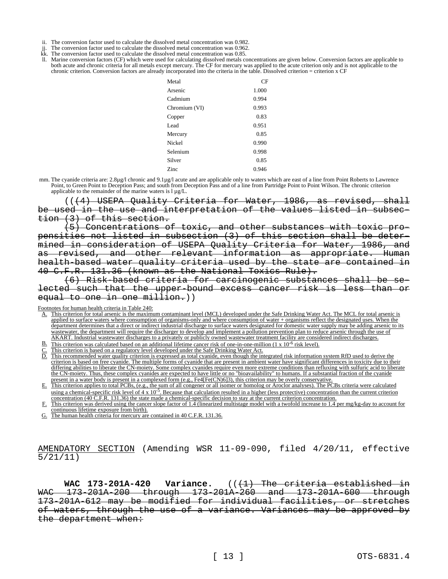- ii. The conversion factor used to calculate the dissolved metal concentration was 0.982.
- The conversion factor used to calculate the dissolved metal concentration was 0.962.
- $\tilde{k}$ . The conversion factor used to calculate the dissolved metal concentration was 0.85.
- Marine conversion factors (CF) which were used for calculating dissolved metals concentrations are given below. Conversion factors are applicable to both acute and chronic criteria for all metals except mercury. The CF for mercury was applied to the acute criterion only and is not applicable to the chronic criterion. Conversion factors are already incorporated into the criteria in the table. Dissolved criterion = criterion x CF

| Metal         | СF    |
|---------------|-------|
| Arsenic       | 1.000 |
| Cadmium       | 0.994 |
| Chromium (VI) | 0.993 |
| Copper        | 0.83  |
| Lead          | 0.951 |
| Mercury       | 0.85  |
| Nickel        | 0.990 |
| Selenium      | 0.998 |
| Silver        | 0.85  |
| Zinc          | 0.946 |

mm. The cyanide criteria are: 2.8µg/l chronic and 9.1µg/l acute and are applicable only to waters which are east of a line from Point Roberts to Lawrence Point, to Green Point to Deception Pass; and south from Deception Pass and of a line from Partridge Point to Point Wilson. The chronic criterion applicable to the remainder of the marine waters is  $l \mu g/L$ .

(((4) USEPA Quality Criteria for Water, 1986, as revised, shall be used in the use and interpretation of the values listed in subsection (3) of this section.

(5) Concentrations of toxic, and other substances with toxic propensities not listed in subsection (3) of this section shall be determined in consideration of USEPA Quality Criteria for Water, 1986, and revised, and other relevant information as appropriate. Human health-based water quality criteria used by the state are contained in 40 C.F.R. 131.36 (known as the National Toxics Rule).

(6) Risk-based criteria for carcinogenic substances shall lected such that the upper-bound excess cancer risk is less than or equal to one in one million.))

Footnotes for human health criteria in Table 240:

- A. This criterion for total arsenic is the maximum contaminant level (MCL) developed under the Safe Drinking Water Act. The MCL for total arsenic is applied to surface waters where consumption of organisms-only and where consumption of water + organisms reflect the designated uses. When the department determines that a direct or indirect industrial discharge to surface waters designated for domestic water supply may be adding arsenic to its wastewater, the department will require the discharger to develop and implement a pollution prevention plan to reduce arsenic through the use of AKART. Industrial wastewater discharges to a privately or publicly owned wastewater treatment facility are considered indirect discharges.
- $\underline{B}$ . This criterion was calculated based on an additional lifetime cancer risk of one-in-one-million (1 x 10<sup>-6</sup> risk level).
- C. This criterion is based on a regulatory level developed under the Safe Drinking Water Act.
- D. This recommended water quality criterion is expressed as total cyanide, even though the integrated risk information system RfD used to derive the criterion is based on free cyanide. The multiple forms of cyanide that are present in ambient water have significant differences in toxicity due to their differing abilities to liberate the CN-moiety. Some complex cyanides require even more extreme conditions than refluxing with sulfuric acid to liberate the CN-moiety. Thus, these complex cyanides are expected to have little or no "bioavailability" to humans. If a substantial fraction of the cyanide present in a water body is present in a complexed form (e.g., Fe4[Fe(CN)6]3), this criterion may be overly conservative.
- E. This criterion applies to total PCBs, (e.g., the sum of all congener or all isomer or homolog or Aroclor analyses). The PCBs criteria were calculated using a chemical-specific risk level of  $4 \times 10^{-5}$ . Because that calculation resulted in a higher (less protective) concentration than the current criterion concentration (40 C.F.R. 131.36) the state made a chemical-specific decision to stay at the current criterion concentration.
- This criterion was derived using the cancer slope factor of  $1.\overline{4}$  (linearized multistage model with a twofold increase to  $1.4$  per mg/kg-day to account for continuous lifetime exposure from birth).
- G. The human health criteria for mercury are contained in 40 C.F.R. 131.36.

AMENDATORY SECTION (Amending WSR 11-09-090, filed 4/20/11, effective 5/21/11)

WAC 173-201A-420 Variance. (( $\{1\}$ ) The criteria established in WAC 173-201A-200 through 173-201A-260 and 173-201A-600 through 173-201A-612 may be modified for individual facilities, or stretches of waters, through the use of a variance. Variances may be approved by the department when: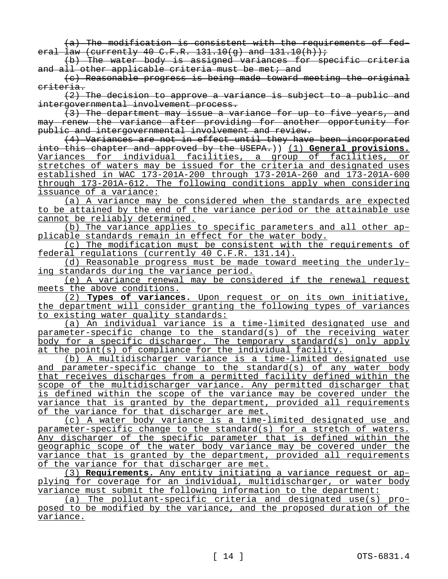(a) The modification is consistent with the requirements of federal law (currently 40 C.F.R. 131.10(q) and  $131.10(h)$ );

(b) The water body is assigned variances for specific criteria and all other applicable criteria must be met; and

(c) Reasonable progress is being made toward meeting the original criteria.

(2) The decision to approve a variance is subject to a public and intergovernmental involvement process.

(3) The department may issue a variance for up to five years, and may renew the variance after providing for another opportunity for public and intergovernmental involvement and review.

(4) Variances are not in effect until they have been incorporated into this chapter and approved by the USEPA.)) (1) **General provisions.**  Variances for individual facilities, a group of facilities, or stretches of waters may be issued for the criteria and designated uses established in WAC 173-201A-200 through 173-201A-260 and 173-201A-600 through 173-201A-612. The following conditions apply when considering issuance of a variance:

(a) A variance may be considered when the standards are expected to be attained by the end of the variance period or the attainable use cannot be reliably determined.

(b) The variance applies to specific parameters and all other applicable standards remain in effect for the water body.

(c) The modification must be consistent with the requirements of federal regulations (currently 40 C.F.R. 131.14).

(d) Reasonable progress must be made toward meeting the underlying standards during the variance period.

(e) A variance renewal may be considered if the renewal request meets the above conditions.

(2) **Types of variances.** Upon request or on its own initiative, the department will consider granting the following types of variances to existing water quality standards:

(a) An individual variance is a time-limited designated use and parameter-specific change to the standard(s) of the receiving water body for a specific discharger. The temporary standard(s) only apply at the point(s) of compliance for the individual facility.

(b) A multidischarger variance is a time-limited designated use and parameter-specific change to the standard(s) of any water body that receives discharges from a permitted facility defined within the scope of the multidischarger variance. Any permitted discharger that is defined within the scope of the variance may be covered under the variance that is granted by the department, provided all requirements of the variance for that discharger are met.

(c) A water body variance is a time-limited designated use and parameter-specific change to the standard(s) for a stretch of waters. Any discharger of the specific parameter that is defined within the geographic scope of the water body variance may be covered under the variance that is granted by the department, provided all requirements of the variance for that discharger are met.

(3) **Requirements.** Any entity initiating a variance request or applying for coverage for an individual, multidischarger, or water body variance must submit the following information to the department:

(a) The pollutant-specific criteria and designated use(s) proposed to be modified by the variance, and the proposed duration of the variance.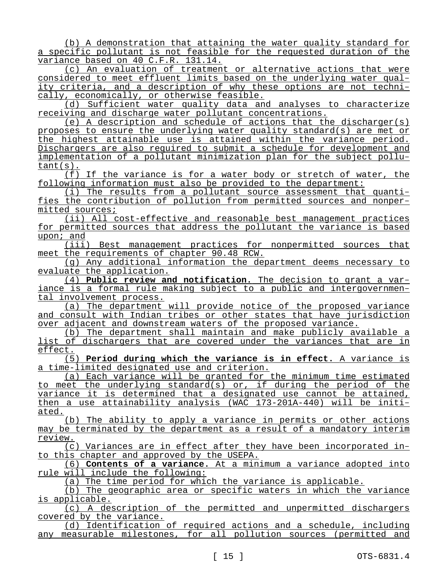(b) A demonstration that attaining the water quality standard for a specific pollutant is not feasible for the requested duration of the variance based on 40 C.F.R. 131.14.

(c) An evaluation of treatment or alternative actions that were considered to meet effluent limits based on the underlying water quality criteria, and a description of why these options are not technically, economically, or otherwise feasible.

(d) Sufficient water quality data and analyses to characterize receiving and discharge water pollutant concentrations.

(e) A description and schedule of actions that the discharger(s) proposes to ensure the underlying water quality standard(s) are met or the highest attainable use is attained within the variance period. Dischargers are also required to submit a schedule for development and implementation of a pollutant minimization plan for the subject pollutant(s).

(f) If the variance is for a water body or stretch of water, the following information must also be provided to the department:

(i) The results from a pollutant source assessment that quantifies the contribution of pollution from permitted sources and nonpermitted sources;

(ii) All cost-effective and reasonable best management practices for permitted sources that address the pollutant the variance is based upon; and

(iii) Best management practices for nonpermitted sources that meet the requirements of chapter 90.48 RCW.

(g) Any additional information the department deems necessary to evaluate the application.

(4) **Public review and notification.** The decision to grant a variance is a formal rule making subject to a public and intergovernmental involvement process.

(a) The department will provide notice of the proposed variance and consult with Indian tribes or other states that have jurisdiction over adjacent and downstream waters of the proposed variance.

(b) The department shall maintain and make publicly available a list of dischargers that are covered under the variances that are in effect.

(5) **Period during which the variance is in effect.** A variance is a time-limited designated use and criterion.

(a) Each variance will be granted for the minimum time estimated to meet the underlying standard(s) or, if during the period of the variance it is determined that a designated use cannot be attained, then a use attainability analysis (WAC 173-201A-440) will be initiated.

(b) The ability to apply a variance in permits or other actions may be terminated by the department as a result of a mandatory interim review.

(c) Variances are in effect after they have been incorporated into this chapter and approved by the USEPA.

(6) **Contents of a variance.** At a minimum a variance adopted into rule will include the following:

(a) The time period for which the variance is applicable.

(b) The geographic area or specific waters in which the variance is applicable.

(c) A description of the permitted and unpermitted dischargers covered by the variance.

(d) Identification of required actions and a schedule, including any measurable milestones, for all pollution sources (permitted and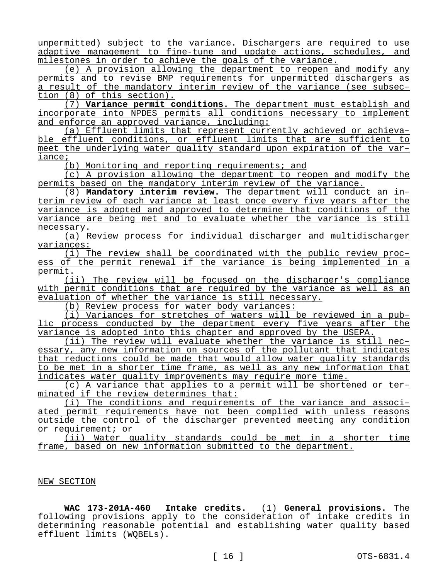unpermitted) subject to the variance. Dischargers are required to use adaptive management to fine-tune and update actions, schedules, and milestones in order to achieve the goals of the variance.

(e) A provision allowing the department to reopen and modify any permits and to revise BMP requirements for unpermitted dischargers as a result of the mandatory interim review of the variance (see subsection (8) of this section).

(7) **Variance permit conditions.** The department must establish and incorporate into NPDES permits all conditions necessary to implement and enforce an approved variance, including:

(a) Effluent limits that represent currently achieved or achievable effluent conditions, or effluent limits that are sufficient to meet the underlying water quality standard upon expiration of the variance;

(b) Monitoring and reporting requirements; and

(c) A provision allowing the department to reopen and modify the permits based on the mandatory interim review of the variance.

(8) **Mandatory interim review.** The department will conduct an interim review of each variance at least once every five years after the variance is adopted and approved to determine that conditions of the variance are being met and to evaluate whether the variance is still necessary.

(a) Review process for individual discharger and multidischarger variances:

(i) The review shall be coordinated with the public review process of the permit renewal if the variance is being implemented in a permit.

(ii) The review will be focused on the discharger's compliance with permit conditions that are required by the variance as well as an evaluation of whether the variance is still necessary.

(b) Review process for water body variances:

(i) Variances for stretches of waters will be reviewed in a public process conducted by the department every five years after the variance is adopted into this chapter and approved by the USEPA.

(ii) The review will evaluate whether the variance is still necessary, any new information on sources of the pollutant that indicates that reductions could be made that would allow water quality standards to be met in a shorter time frame, as well as any new information that indicates water quality improvements may require more time.

(c) A variance that applies to a permit will be shortened or terminated if the review determines that:

(i) The conditions and requirements of the variance and associated permit requirements have not been complied with unless reasons outside the control of the discharger prevented meeting any condition or requirement; or

(ii) Water quality standards could be met in a shorter time frame, based on new information submitted to the department.

### NEW SECTION

**WAC 173-201A-460 Intake credits.** (1) **General provisions.** The following provisions apply to the consideration of intake credits in determining reasonable potential and establishing water quality based effluent limits (WQBELs).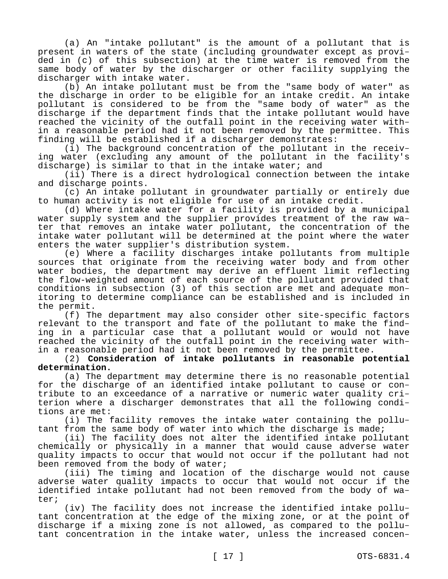(a) An "intake pollutant" is the amount of a pollutant that is present in waters of the state (including groundwater except as provided in (c) of this subsection) at the time water is removed from the same body of water by the discharger or other facility supplying the discharger with intake water.

(b) An intake pollutant must be from the "same body of water" as the discharge in order to be eligible for an intake credit. An intake pollutant is considered to be from the "same body of water" as the discharge if the department finds that the intake pollutant would have reached the vicinity of the outfall point in the receiving water within a reasonable period had it not been removed by the permittee. This finding will be established if a discharger demonstrates:

(i) The background concentration of the pollutant in the receiving water (excluding any amount of the pollutant in the facility's discharge) is similar to that in the intake water; and

(ii) There is a direct hydrological connection between the intake and discharge points.

(c) An intake pollutant in groundwater partially or entirely due to human activity is not eligible for use of an intake credit.

(d) Where intake water for a facility is provided by a municipal water supply system and the supplier provides treatment of the raw water that removes an intake water pollutant, the concentration of the intake water pollutant will be determined at the point where the water enters the water supplier's distribution system.

(e) Where a facility discharges intake pollutants from multiple sources that originate from the receiving water body and from other water bodies, the department may derive an effluent limit reflecting the flow-weighted amount of each source of the pollutant provided that conditions in subsection (3) of this section are met and adequate monitoring to determine compliance can be established and is included in the permit.

(f) The department may also consider other site-specific factors relevant to the transport and fate of the pollutant to make the finding in a particular case that a pollutant would or would not have reached the vicinity of the outfall point in the receiving water within a reasonable period had it not been removed by the permittee.

# (2) **Consideration of intake pollutants in reasonable potential determination.**

(a) The department may determine there is no reasonable potential for the discharge of an identified intake pollutant to cause or contribute to an exceedance of a narrative or numeric water quality criterion where a discharger demonstrates that all the following conditions are met:

(i) The facility removes the intake water containing the pollutant from the same body of water into which the discharge is made;

(ii) The facility does not alter the identified intake pollutant chemically or physically in a manner that would cause adverse water quality impacts to occur that would not occur if the pollutant had not been removed from the body of water;

(iii) The timing and location of the discharge would not cause adverse water quality impacts to occur that would not occur if the identified intake pollutant had not been removed from the body of water;

(iv) The facility does not increase the identified intake pollutant concentration at the edge of the mixing zone, or at the point of discharge if a mixing zone is not allowed, as compared to the pollutant concentration in the intake water, unless the increased concen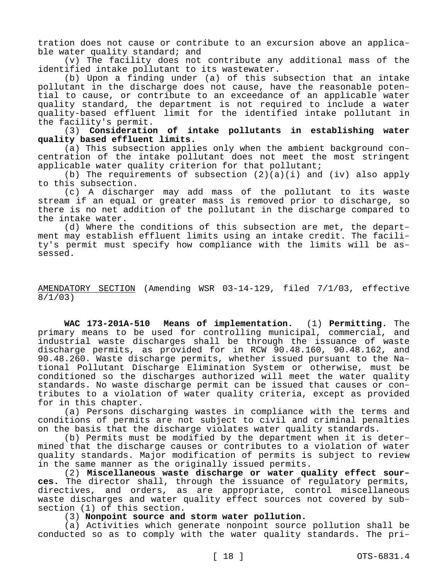tration does not cause or contribute to an excursion above an applicable water quality standard; and

(v) The facility does not contribute any additional mass of the identified intake pollutant to its wastewater.

(b) Upon a finding under (a) of this subsection that an intake pollutant in the discharge does not cause, have the reasonable potential to cause, or contribute to an exceedance of an applicable water quality standard, the department is not required to include a water quality-based effluent limit for the identified intake pollutant in the facility's permit.

(3) **Consideration of intake pollutants in establishing water quality based effluent limits.**

(a) This subsection applies only when the ambient background concentration of the intake pollutant does not meet the most stringent applicable water quality criterion for that pollutant;

(b) The requirements of subsection  $(2)(a)(i)$  and  $(iv)$  also apply to this subsection.

(c) A discharger may add mass of the pollutant to its waste stream if an equal or greater mass is removed prior to discharge, so there is no net addition of the pollutant in the discharge compared to the intake water.

(d) Where the conditions of this subsection are met, the department may establish effluent limits using an intake credit. The facility's permit must specify how compliance with the limits will be assessed.

## AMENDATORY SECTION (Amending WSR 03-14-129, filed 7/1/03, effective 8/1/03)

**WAC 173-201A-510 Means of implementation.** (1) **Permitting.** The primary means to be used for controlling municipal, commercial, and industrial waste discharges shall be through the issuance of waste discharge permits, as provided for in RCW 90.48.160, 90.48.162, and 90.48.260. Waste discharge permits, whether issued pursuant to the National Pollutant Discharge Elimination System or otherwise, must be conditioned so the discharges authorized will meet the water quality standards. No waste discharge permit can be issued that causes or contributes to a violation of water quality criteria, except as provided for in this chapter.

(a) Persons discharging wastes in compliance with the terms and conditions of permits are not subject to civil and criminal penalties on the basis that the discharge violates water quality standards.

(b) Permits must be modified by the department when it is determined that the discharge causes or contributes to a violation of water quality standards. Major modification of permits is subject to review in the same manner as the originally issued permits.

(2) **Miscellaneous waste discharge or water quality effect sources.** The director shall, through the issuance of regulatory permits, directives, and orders, as are appropriate, control miscellaneous waste discharges and water quality effect sources not covered by subsection (1) of this section.

## (3) **Nonpoint source and storm water pollution.**

(a) Activities which generate nonpoint source pollution shall be conducted so as to comply with the water quality standards. The pri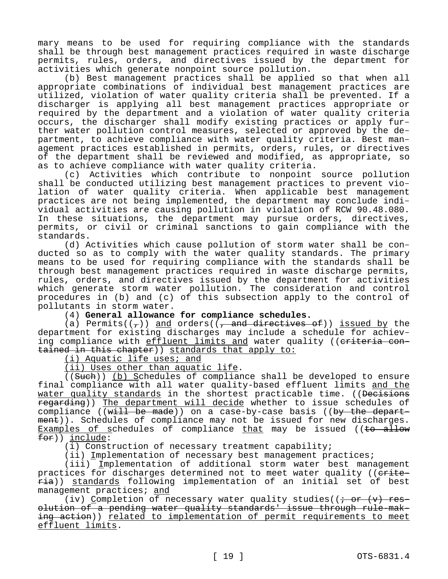mary means to be used for requiring compliance with the standards shall be through best management practices required in waste discharge permits, rules, orders, and directives issued by the department for activities which generate nonpoint source pollution.

(b) Best management practices shall be applied so that when all appropriate combinations of individual best management practices are utilized, violation of water quality criteria shall be prevented. If a discharger is applying all best management practices appropriate or required by the department and a violation of water quality criteria occurs, the discharger shall modify existing practices or apply further water pollution control measures, selected or approved by the department, to achieve compliance with water quality criteria. Best management practices established in permits, orders, rules, or directives of the department shall be reviewed and modified, as appropriate, so as to achieve compliance with water quality criteria.

(c) Activities which contribute to nonpoint source pollution shall be conducted utilizing best management practices to prevent violation of water quality criteria. When applicable best management practices are not being implemented, the department may conclude individual activities are causing pollution in violation of RCW 90.48.080. In these situations, the department may pursue orders, directives, permits, or civil or criminal sanctions to gain compliance with the standards.

(d) Activities which cause pollution of storm water shall be conducted so as to comply with the water quality standards. The primary means to be used for requiring compliance with the standards shall be through best management practices required in waste discharge permits, rules, orders, and directives issued by the department for activities which generate storm water pollution. The consideration and control procedures in (b) and (c) of this subsection apply to the control of pollutants in storm water.

(4) **General allowance for compliance schedules.**

(a) Permits( $(\tau)$ ) and orders( $(\tau)$  and directives of)) issued by the department for existing discharges may include a schedule for achieving compliance with effluent limits and water quality ((eriteria contained in this chapter)) standards that apply to:

(i) Aquatic life uses; and

(ii) Uses other than aquatic life.

((Such)) (b) Schedules of compliance shall be developed to ensure final compliance with all water quality-based effluent limits and the water quality standards in the shortest practicable time. ((Decisions regarding)) The department will decide whether to issue schedules of compliance (( $\text{with}$  be made)) on a case-by-case basis ((by the department)). Schedules of compliance may not be issued for new discharges. Examples of schedules of compliance that may be issued ( $\theta$  +  $\theta$  +  $\theta$  +  $\theta$  +  $\theta$  +  $\theta$  +  $\theta$  +  $\theta$  +  $\theta$  +  $\theta$  +  $\theta$  +  $\theta$  +  $\theta$  +  $\theta$  +  $\theta$  +  $\theta$  +  $\theta$  +  $\theta$  +  $\theta$  +  $\theta$  +  $\theta$  +  $\theta$  +  $\theta$  +  $\theta$ for)) include:

(i) Construction of necessary treatment capability;

(ii) Implementation of necessary best management practices;

(iii) Implementation of additional storm water best management practices for discharges determined not to meet water quality ((erite- $\overline{\text{ria}}$ ) standards following implementation of an initial set of best management practices; and

(iv) Completion of necessary water quality studies( $(i + or (v)$  resolution of a pending water quality standards' issue through rule-making action)) related to implementation of permit requirements to meet effluent limits.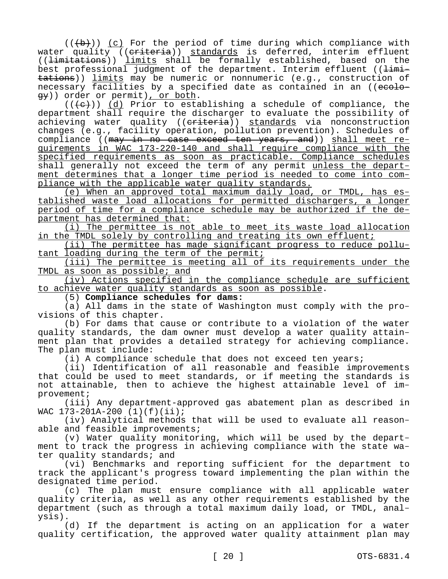$((+b))$  (c) For the period of time during which compliance with water quality ((criteria)) standards is deferred, interim effluent ((limitations)) limits shall be formally established, based on the best professional judgment of the department. Interim effluent ( $\frac{1}{\text{limit}}$ tations)) limits may be numeric or nonnumeric (e.g., construction of necessary facilities by a specified date as contained in an ((ecology)) order or permit), or both.

 $((+e))$  (d) Prior to establishing a schedule of compliance, the department shall require the discharger to evaluate the possibility of achieving water quality ((eriteria)) standards via nonconstruction changes (e.g., facility operation, pollution prevention). Schedules of compliance ((may in no case exceed ten years, and)) shall meet requirements in WAC 173-220-140 and shall require compliance with the specified requirements as soon as practicable. Compliance schedules shall generally not exceed the term of any permit unless the department determines that a longer time period is needed to come into compliance with the applicable water quality standards.

(e) When an approved total maximum daily load, or TMDL, has established waste load allocations for permitted dischargers, a longer period of time for a compliance schedule may be authorized if the department has determined that:

(i) The permittee is not able to meet its waste load allocation in the TMDL solely by controlling and treating its own effluent;

(ii) The permittee has made significant progress to reduce pollutant loading during the term of the permit;

(iii) The permittee is meeting all of its requirements under the TMDL as soon as possible; and

(iv) Actions specified in the compliance schedule are sufficient to achieve water quality standards as soon as possible.

(5) **Compliance schedules for dams:**

(a) All dams in the state of Washington must comply with the provisions of this chapter.

(b) For dams that cause or contribute to a violation of the water quality standards, the dam owner must develop a water quality attainment plan that provides a detailed strategy for achieving compliance. The plan must include:

(i) A compliance schedule that does not exceed ten years;

(ii) Identification of all reasonable and feasible improvements that could be used to meet standards, or if meeting the standards is not attainable, then to achieve the highest attainable level of improvement;

(iii) Any department-approved gas abatement plan as described in WAC 173-201A-200 (1)(f)(ii);

(iv) Analytical methods that will be used to evaluate all reasonable and feasible improvements;

(v) Water quality monitoring, which will be used by the department to track the progress in achieving compliance with the state water quality standards; and

(vi) Benchmarks and reporting sufficient for the department to track the applicant's progress toward implementing the plan within the designated time period.

(c) The plan must ensure compliance with all applicable water quality criteria, as well as any other requirements established by the department (such as through a total maximum daily load, or TMDL, analysis).

(d) If the department is acting on an application for a water quality certification, the approved water quality attainment plan may